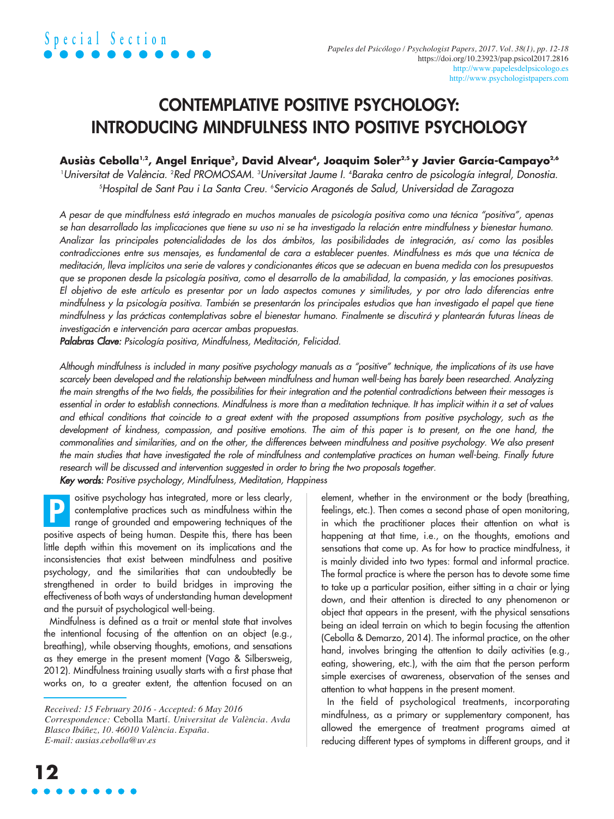# CONTEMPLATIVE POSITIVE PSYCHOLOGY: INTRODUCING MINDFULNESS INTO POSITIVE PSYCHOLOGY

## **Ausiàs Cebolla1,2 , Angel Enrique3 , David Alvear4 , Joaquim Soler2,5 y Javier García-Campayo2,6**

1 *Universitat de València.* <sup>2</sup> *Red PROMOSAM.* <sup>3</sup> *Universitat Jaume I.* <sup>4</sup> *Baraka centro de psicología integral, Donostia.* 5 *Hospital de Sant Pau i La Santa Creu.* <sup>6</sup> *Servicio Aragonés de Salud, Universidad de Zaragoza*

A pesar de que mindfulness está integrado en muchos manuales de psicología positiva como una técnica "positiva", apenas se han desarrollado las implicaciones que tiene su uso ni se ha investigado la relación entre mindfulness y bienestar humano. Analizar las principales potencialidades de los dos ámbitos, las posibilidades de integración, así como las posibles contradicciones entre sus mensajes, es fundamental de cara a establecer puentes. Mindfulness es más que una técnica de meditación, lleva implícitos una serie de valores y condicionantes éticos que se adecuan en buena medida con los presupuestos que se proponen desde la psicología positiva, como el desarrollo de la amabilidad, la compasión, y las emociones positivas. El objetivo de este artículo es presentar por un lado aspectos comunes y similitudes, y por otro lado diferencias entre mindfulness y la psicología positiva. También se presentarán los principales estudios que han investigado el papel que tiene mindfulness y las prácticas contemplativas sobre el bienestar humano. Finalmente se discutirá y plantearán futuras líneas de *investigación e intervención para acercar ambas propuestas.*

*Palabras Clave: Psicología positiva, Mindfulness, Meditación, Felicidad.*

Although mindfulness is included in many positive psychology manuals as a "positive" technique, the implications of its use have scarcely been developed and the relationship between mindfulness and human well-being has barely been researched. Analyzing the main strengths of the two fields, the possibilities for their integration and the potential contradictions between their messages is essential in order to establish connections. Mindfulness is more than a meditation technique. It has implicit within it a set of values and ethical conditions that coincide to a great extent with the proposed assumptions from positive psychology, such as the development of kindness, compassion, and positive emotions. The aim of this paper is to present, on the one hand, the commonalities and similarities, and on the other, the differences between mindfulness and positive psychology. We also present the main studies that have investigated the role of mindfulness and contemplative practices on human well-being. Finally future *research will be discussed and intervention suggested in order to bring the two proposals together. Key words: Positive psychology, Mindfulness, Meditation, Happiness*

ositive psychology has integrated, more or less clearly, contemplative practices such as mindfulness within the range of grounded and empowering techniques of the positive aspects of being human. Despite this, there has been little depth within this movement on its implications and the inconsistencies that exist between mindfulness and positive psychology, and the similarities that can undoubtedly be strengthened in order to build bridges in improving the effectiveness of both ways of understanding human development P

and the pursuit of psychological well-being. Mindfulness is defined as a trait or mental state that involves the intentional focusing of the attention on an object (e.g., breathing), while observing thoughts, emotions, and sensations as they emerge in the present moment (Vago & Silbersweig, 2012). Mindfulness training usually starts with a first phase that works on, to a greater extent, the attention focused on an

**12**

element, whether in the environment or the body (breathing, feelings, etc.). Then comes a second phase of open monitoring, in which the practitioner places their attention on what is happening at that time, i.e., on the thoughts, emotions and sensations that come up. As for how to practice mindfulness, it is mainly divided into two types: formal and informal practice. The formal practice is where the person has to devote some time to take up a particular position, either sitting in a chair or lying down, and their attention is directed to any phenomenon or object that appears in the present, with the physical sensations being an ideal terrain on which to begin focusing the attention (Cebolla & Demarzo, 2014). The informal practice, on the other hand, involves bringing the attention to daily activities (e.g., eating, showering, etc.), with the aim that the person perform simple exercises of awareness, observation of the senses and attention to what happens in the present moment.

In the field of psychological treatments, incorporating mindfulness, as a primary or supplementary component, has allowed the emergence of treatment programs aimed at reducing different types of symptoms in different groups, and it

*Received: 15 February 2016 - Accepted: 6 May 2016 Correspondence:* Cebolla Martí. *Universitat de València. Avda Blasco Ibáñez, 10. 46010 València. España. E-mail: ausias.cebolla@uv.es*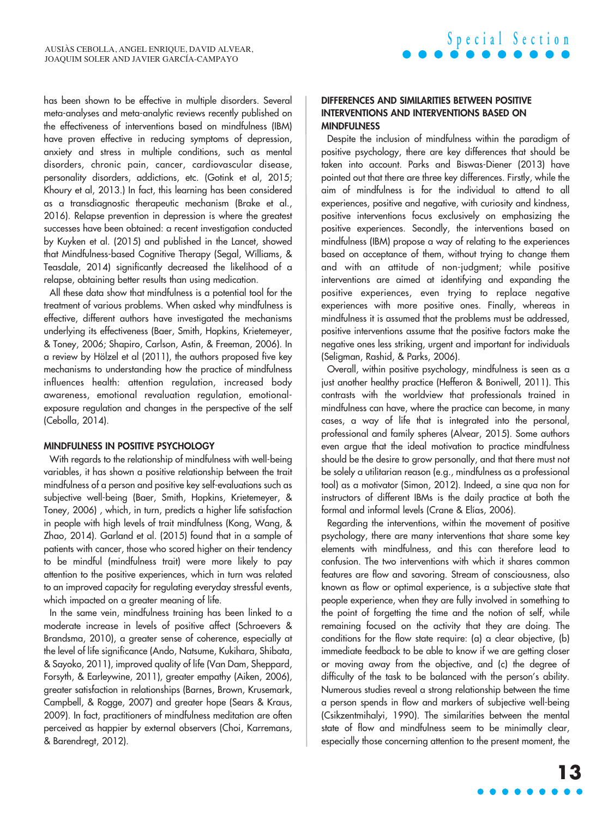has been shown to be effective in multiple disorders. Several meta-analyses and meta-analytic reviews recently published on the effectiveness of interventions based on mindfulness (IBM) have proven effective in reducing symptoms of depression, anxiety and stress in multiple conditions, such as mental disorders, chronic pain, cancer, cardiovascular disease, personality disorders, addictions, etc. (Gotink et al, 2015; Khoury et al, 2013.) In fact, this learning has been considered as a transdiagnostic therapeutic mechanism (Brake et al., 2016). Relapse prevention in depression is where the greatest successes have been obtained: a recent investigation conducted by Kuyken et al. (2015) and published in the Lancet, showed that Mindfulness-based Cognitive Therapy (Segal, Williams, & Teasdale, 2014) significantly decreased the likelihood of a relapse, obtaining better results than using medication.

All these data show that mindfulness is a potential tool for the treatment of various problems. When asked why mindfulness is effective, different authors have investigated the mechanisms underlying its effectiveness (Baer, Smith, Hopkins, Krietemeyer, & Toney, 2006; Shapiro, Carlson, Astin, & Freeman, 2006). In a review by Hölzel et al (2011), the authors proposed five key mechanisms to understanding how the practice of mindfulness influences health: attention regulation, increased body awareness, emotional revaluation regulation, emotionalexposure regulation and changes in the perspective of the self (Cebolla, 2014).

#### MINDFULNESS IN POSITIVE PSYCHOLOGY

With regards to the relationship of mindfulness with well-being variables, it has shown a positive relationship between the trait mindfulness of a person and positive key self-evaluations such as subjective well-being (Baer, Smith, Hopkins, Krietemeyer, & Toney, 2006) , which, in turn, predicts a higher life satisfaction in people with high levels of trait mindfulness (Kong, Wang, & Zhao, 2014). Garland et al. (2015) found that in a sample of patients with cancer, those who scored higher on their tendency to be mindful (mindfulness trait) were more likely to pay attention to the positive experiences, which in turn was related to an improved capacity for regulating everyday stressful events, which impacted on a greater meaning of life.

In the same vein, mindfulness training has been linked to a moderate increase in levels of positive affect (Schroevers & Brandsma, 2010), a greater sense of coherence, especially at the level of life significance (Ando, Natsume, Kukihara, Shibata, & Sayoko, 2011), improved quality of life (Van Dam, Sheppard, Forsyth, & Earleywine, 2011), greater empathy (Aiken, 2006), greater satisfaction in relationships (Barnes, Brown, Krusemark, Campbell, & Rogge, 2007) and greater hope (Sears & Kraus, 2009). In fact, practitioners of mindfulness meditation are often perceived as happier by external observers (Choi, Karremans, & Barendregt, 2012).

### DIFFERENCES AND SIMILARITIES BETWEEN POSITIVE INTERVENTIONS AND INTERVENTIONS BASED ON MINDFULNESS

**S p e c i a l S e c t i o n**

Despite the inclusion of mindfulness within the paradigm of positive psychology, there are key differences that should be taken into account. Parks and Biswas-Diener (2013) have pointed out that there are three key differences. Firstly, while the aim of mindfulness is for the individual to attend to all experiences, positive and negative, with curiosity and kindness, positive interventions focus exclusively on emphasizing the positive experiences. Secondly, the interventions based on mindfulness (IBM) propose a way of relating to the experiences based on acceptance of them, without trying to change them and with an attitude of non-judgment; while positive interventions are aimed at identifying and expanding the positive experiences, even trying to replace negative experiences with more positive ones. Finally, whereas in mindfulness it is assumed that the problems must be addressed, positive interventions assume that the positive factors make the negative ones less striking, urgent and important for individuals (Seligman, Rashid, & Parks, 2006).

Overall, within positive psychology, mindfulness is seen as a just another healthy practice (Hefferon & Boniwell, 2011). This contrasts with the worldview that professionals trained in mindfulness can have, where the practice can become, in many cases, a way of life that is integrated into the personal, professional and family spheres (Alvear, 2015). Some authors even argue that the ideal motivation to practice mindfulness should be the desire to grow personally, and that there must not be solely a utilitarian reason (e.g., mindfulness as a professional tool) as a motivator (Simon, 2012). Indeed, a sine qua non for instructors of different IBMs is the daily practice at both the formal and informal levels (Crane & Elías, 2006).

Regarding the interventions, within the movement of positive psychology, there are many interventions that share some key elements with mindfulness, and this can therefore lead to confusion. The two interventions with which it shares common features are flow and savoring. Stream of consciousness, also known as flow or optimal experience, is a subjective state that people experience, when they are fully involved in something to the point of forgetting the time and the notion of self, while remaining focused on the activity that they are doing. The conditions for the flow state require: (a) a clear objective, (b) immediate feedback to be able to know if we are getting closer or moving away from the objective, and (c) the degree of difficulty of the task to be balanced with the person's ability. Numerous studies reveal a strong relationship between the time a person spends in flow and markers of subjective well-being (Csikzentmihalyi, 1990). The similarities between the mental state of flow and mindfulness seem to be minimally clear, especially those concerning attention to the present moment, the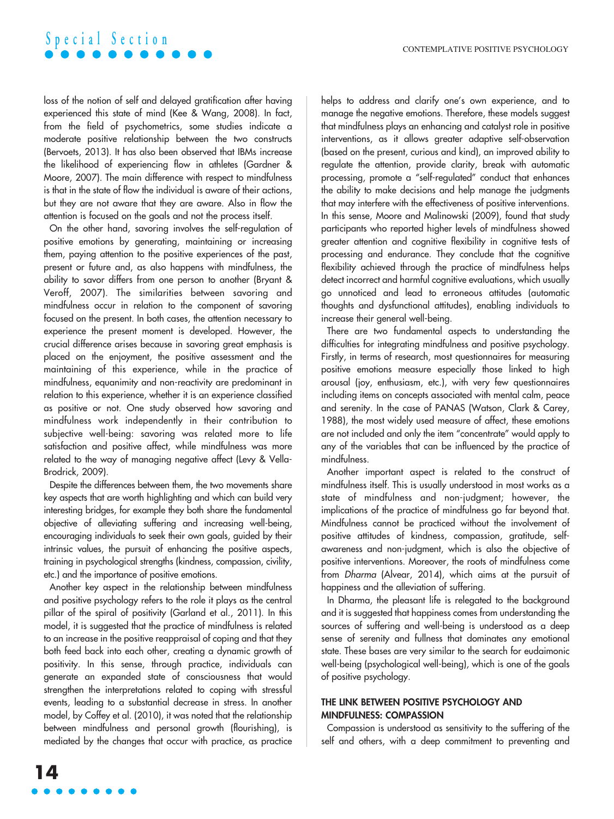# **S p e c i a l S e c t i o n**

loss of the notion of self and delayed gratification after having experienced this state of mind (Kee & Wang, 2008). In fact, from the field of psychometrics, some studies indicate a moderate positive relationship between the two constructs (Bervoets, 2013). It has also been observed that IBMs increase the likelihood of experiencing flow in athletes (Gardner & Moore, 2007). The main difference with respect to mindfulness is that in the state of flow the individual is aware of their actions, but they are not aware that they are aware. Also in flow the attention is focused on the goals and not the process itself.

On the other hand, savoring involves the self-regulation of positive emotions by generating, maintaining or increasing them, paying attention to the positive experiences of the past, present or future and, as also happens with mindfulness, the ability to savor differs from one person to another (Bryant & Veroff, 2007). The similarities between savoring and mindfulness occur in relation to the component of savoring focused on the present. In both cases, the attention necessary to experience the present moment is developed. However, the crucial difference arises because in savoring great emphasis is placed on the enjoyment, the positive assessment and the maintaining of this experience, while in the practice of mindfulness, equanimity and non-reactivity are predominant in relation to this experience, whether it is an experience classified as positive or not. One study observed how savoring and mindfulness work independently in their contribution to subjective well-being: savoring was related more to life satisfaction and positive affect, while mindfulness was more related to the way of managing negative affect (Levy & Vella-Brodrick, 2009).

Despite the differences between them, the two movements share key aspects that are worth highlighting and which can build very interesting bridges, for example they both share the fundamental objective of alleviating suffering and increasing well-being, encouraging individuals to seek their own goals, guided by their intrinsic values, the pursuit of enhancing the positive aspects, training in psychological strengths (kindness, compassion, civility, etc.) and the importance of positive emotions.

Another key aspect in the relationship between mindfulness and positive psychology refers to the role it plays as the central pillar of the spiral of positivity (Garland et al., 2011). In this model, it is suggested that the practice of mindfulness is related to an increase in the positive reappraisal of coping and that they both feed back into each other, creating a dynamic growth of positivity. In this sense, through practice, individuals can generate an expanded state of consciousness that would strengthen the interpretations related to coping with stressful events, leading to a substantial decrease in stress. In another model, by Coffey et al. (2010), it was noted that the relationship between mindfulness and personal growth (flourishing), is mediated by the changes that occur with practice, as practice helps to address and clarify one's own experience, and to manage the negative emotions. Therefore, these models suggest that mindfulness plays an enhancing and catalyst role in positive interventions, as it allows greater adaptive self-observation (based on the present, curious and kind), an improved ability to regulate the attention, provide clarity, break with automatic processing, promote a "self-regulated" conduct that enhances the ability to make decisions and help manage the judgments that may interfere with the effectiveness of positive interventions. In this sense, Moore and Malinowski (2009), found that study participants who reported higher levels of mindfulness showed greater attention and cognitive flexibility in cognitive tests of processing and endurance. They conclude that the cognitive flexibility achieved through the practice of mindfulness helps detect incorrect and harmful cognitive evaluations, which usually go unnoticed and lead to erroneous attitudes (automatic thoughts and dysfunctional attitudes), enabling individuals to increase their general well-being.

There are two fundamental aspects to understanding the difficulties for integrating mindfulness and positive psychology. Firstly, in terms of research, most questionnaires for measuring positive emotions measure especially those linked to high arousal (joy, enthusiasm, etc.), with very few questionnaires including items on concepts associated with mental calm, peace and serenity. In the case of PANAS (Watson, Clark & Carey, 1988), the most widely used measure of affect, these emotions are not included and only the item "concentrate" would apply to any of the variables that can be influenced by the practice of mindfulness.

Another important aspect is related to the construct of mindfulness itself. This is usually understood in most works as a state of mindfulness and non-judgment; however, the implications of the practice of mindfulness go far beyond that. Mindfulness cannot be practiced without the involvement of positive attitudes of kindness, compassion, gratitude, selfawareness and non-judgment, which is also the objective of positive interventions. Moreover, the roots of mindfulness come from *Dharma* (Alvear, 2014), which aims at the pursuit of happiness and the alleviation of suffering.

In Dharma, the pleasant life is relegated to the background and it is suggested that happiness comes from understanding the sources of suffering and well-being is understood as a deep sense of serenity and fullness that dominates any emotional state. These bases are very similar to the search for eudaimonic well-being (psychological well-being), which is one of the goals of positive psychology.

### THE LINK BETWEEN POSITIVE PSYCHOLOGY AND MINDFULNESS: COMPASSION

Compassion is understood as sensitivity to the suffering of the self and others, with a deep commitment to preventing and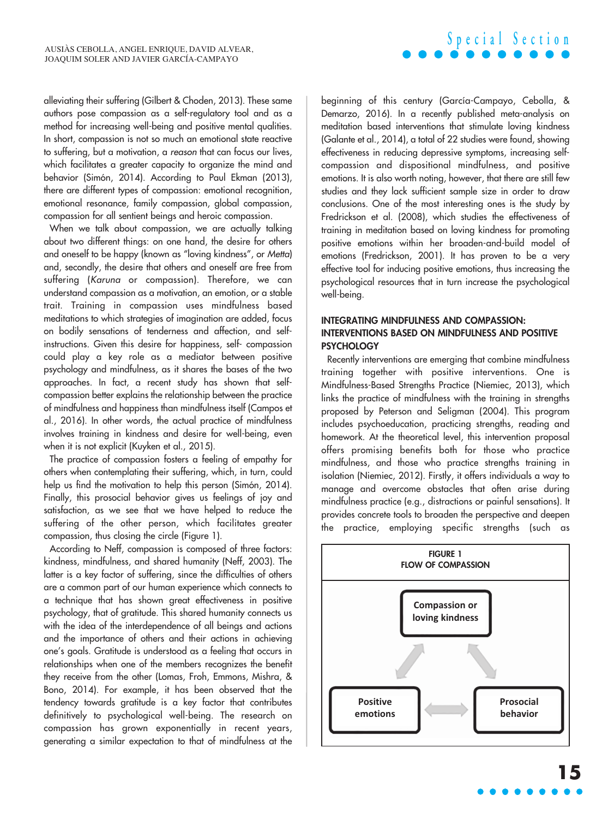alleviating their suffering (Gilbert & Choden, 2013). These same authors pose compassion as a self-regulatory tool and as a method for increasing well-being and positive mental qualities. In short, compassion is not so much an emotional state reactive to suffering, but a motivation, a *reason* that can focus our lives, which facilitates a greater capacity to organize the mind and behavior (Simón, 2014). According to Paul Ekman (2013), there are different types of compassion: emotional recognition, emotional resonance, family compassion, global compassion, compassion for all sentient beings and heroic compassion.

When we talk about compassion, we are actually talking about two different things: on one hand, the desire for others and oneself to be happy (known as "loving kindness", or *Metta*) and, secondly, the desire that others and oneself are free from suffering (*Karuna* or compassion). Therefore, we can understand compassion as a motivation, an emotion, or a stable trait. Training in compassion uses mindfulness based meditations to which strategies of imagination are added, focus on bodily sensations of tenderness and affection, and selfinstructions. Given this desire for happiness, self- compassion could play a key role as a mediator between positive psychology and mindfulness, as it shares the bases of the two approaches. In fact, a recent study has shown that selfcompassion better explains the relationship between the practice of mindfulness and happiness than mindfulness itself (Campos et al., 2016). In other words, the actual practice of mindfulness involves training in kindness and desire for well-being, even when it is not explicit (Kuyken et al., 2015).

The practice of compassion fosters a feeling of empathy for others when contemplating their suffering, which, in turn, could help us find the motivation to help this person (Simón, 2014). Finally, this prosocial behavior gives us feelings of joy and satisfaction, as we see that we have helped to reduce the suffering of the other person, which facilitates greater compassion, thus closing the circle (Figure 1).

According to Neff, compassion is composed of three factors: kindness, mindfulness, and shared humanity (Neff, 2003). The latter is a key factor of suffering, since the difficulties of others are a common part of our human experience which connects to a technique that has shown great effectiveness in positive psychology, that of gratitude. This shared humanity connects us with the idea of the interdependence of all beings and actions and the importance of others and their actions in achieving one's goals. Gratitude is understood as a feeling that occurs in relationships when one of the members recognizes the benefit they receive from the other (Lomas, Froh, Emmons, Mishra, & Bono, 2014). For example, it has been observed that the tendency towards gratitude is a key factor that contributes definitively to psychological well-being. The research on compassion has grown exponentially in recent years, generating a similar expectation to that of mindfulness at the

beginning of this century (García-Campayo, Cebolla, & Demarzo, 2016). In a recently published meta-analysis on meditation based interventions that stimulate loving kindness (Galante et al., 2014), a total of 22 studies were found, showing effectiveness in reducing depressive symptoms, increasing selfcompassion and dispositional mindfulness, and positive emotions. It is also worth noting, however, that there are still few studies and they lack sufficient sample size in order to draw conclusions. One of the most interesting ones is the study by Fredrickson et al. (2008), which studies the effectiveness of training in meditation based on loving kindness for promoting positive emotions within her broaden-and-build model of emotions (Fredrickson, 2001). It has proven to be a very effective tool for inducing positive emotions, thus increasing the psychological resources that in turn increase the psychological well-being.

**S p e c i a l S e c t i o n**

### INTEGRATING MINDFULNESS AND COMPASSION: INTERVENTIONS BASED ON MINDFULNESS AND POSITIVE **PSYCHOLOGY**

Recently interventions are emerging that combine mindfulness training together with positive interventions. One is Mindfulness-Based Strengths Practice (Niemiec, 2013), which links the practice of mindfulness with the training in strengths proposed by Peterson and Seligman (2004). This program includes psychoeducation, practicing strengths, reading and homework. At the theoretical level, this intervention proposal offers promising benefits both for those who practice mindfulness, and those who practice strengths training in isolation (Niemiec, 2012). Firstly, it offers individuals a way to manage and overcome obstacles that often arise during mindfulness practice (e.g., distractions or painful sensations). It provides concrete tools to broaden the perspective and deepen the practice, employing specific strengths (such as

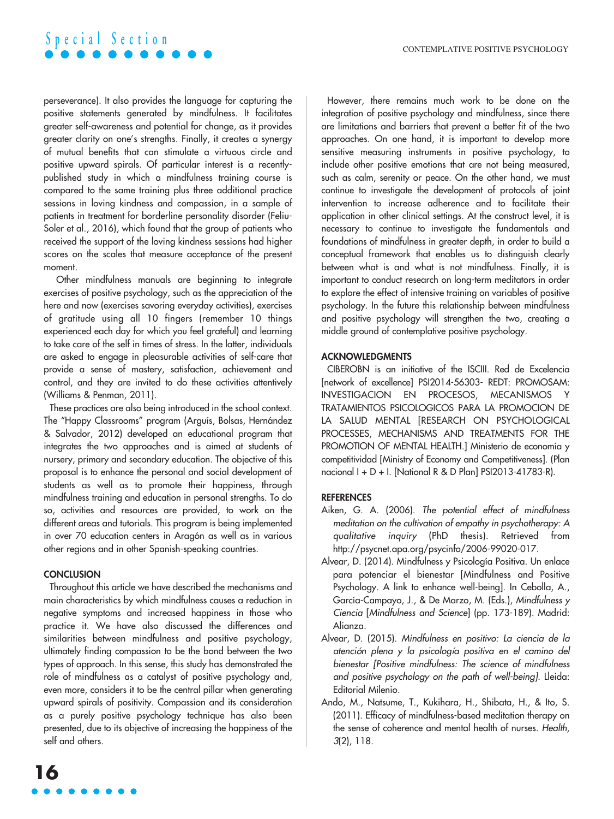# **S p e c i a l S e c t i o n**

perseverance). It also provides the language for capturing the positive statements generated by mindfulness. It facilitates greater self-awareness and potential for change, as it provides greater clarity on one's strengths. Finally, it creates a synergy of mutual benefits that can stimulate a virtuous circle and positive upward spirals. Of particular interest is a recentlypublished study in which a mindfulness training course is compared to the same training plus three additional practice sessions in loving kindness and compassion, in a sample of patients in treatment for borderline personality disorder (Feliu-Soler et al., 2016), which found that the group of patients who received the support of the loving kindness sessions had higher scores on the scales that measure acceptance of the present moment.

Other mindfulness manuals are beginning to integrate exercises of positive psychology, such as the appreciation of the here and now (exercises savoring everyday activities), exercises of gratitude using all 10 fingers (remember 10 things experienced each day for which you feel grateful) and learning to take care of the self in times of stress. In the latter, individuals are asked to engage in pleasurable activities of self-care that provide a sense of mastery, satisfaction, achievement and control, and they are invited to do these activities attentively (Williams & Penman, 2011).

These practices are also being introduced in the school context. The "Happy Classrooms" program (Arguís, Bolsas, Hernández & Salvador, 2012) developed an educational program that integrates the two approaches and is aimed at students of nursery, primary and secondary education. The objective of this proposal is to enhance the personal and social development of students as well as to promote their happiness, through mindfulness training and education in personal strengths. To do so, activities and resources are provided, to work on the different areas and tutorials. This program is being implemented in over 70 education centers in Aragón as well as in various other regions and in other Spanish-speaking countries.

#### **CONCLUSION**

Throughout this article we have described the mechanisms and main characteristics by which mindfulness causes a reduction in negative symptoms and increased happiness in those who practice it. We have also discussed the differences and similarities between mindfulness and positive psychology, ultimately finding compassion to be the bond between the two types of approach. In this sense, this study has demonstrated the role of mindfulness as a catalyst of positive psychology and, even more, considers it to be the central pillar when generating upward spirals of positivity. Compassion and its consideration as a purely positive psychology technique has also been presented, due to its objective of increasing the happiness of the self and others.

However, there remains much work to be done on the integration of positive psychology and mindfulness, since there are limitations and barriers that prevent a better fit of the two approaches. On one hand, it is important to develop more sensitive measuring instruments in positive psychology, to include other positive emotions that are not being measured, such as calm, serenity or peace. On the other hand, we must continue to investigate the development of protocols of joint intervention to increase adherence and to facilitate their application in other clinical settings. At the construct level, it is necessary to continue to investigate the fundamentals and foundations of mindfulness in greater depth, in order to build a conceptual framework that enables us to distinguish clearly between what is and what is not mindfulness. Finally, it is important to conduct research on long-term meditators in order to explore the effect of intensive training on variables of positive psychology. In the future this relationship between mindfulness and positive psychology will strengthen the two, creating a middle ground of contemplative positive psychology.

#### ACKNOWLEDGMENTS

CIBEROBN is an initiative of the ISCIII. Red de Excelencia [network of excellence] PSI2014-56303- REDT: PROMOSAM: INVESTIGACION EN PROCESOS, MECANISMOS Y TRATAMIENTOS PSICOLOGICOS PARA LA PROMOCION DE LA SALUD MENTAL [RESEARCH ON PSYCHOLOGICAL PROCESSES, MECHANISMS AND TREATMENTS FOR THE PROMOTION OF MENTAL HEALTH.] Ministerio de economía y competitividad [Ministry of Economy and Competitiveness]. (Plan nacional I + D + I. [National R & D Plan] PSI2013-41783-R).

#### **REFERENCES**

- Aiken, G. A. (2006). *The potential effect of mindfulness meditation on the cultivation of empathy in psychotherapy: A qualitative inquiry* (PhD thesis). Retrieved from [http://psycnet.apa.org/psycinfo/2006-99020-017.](http://psycnet.apa.org/psycinfo/2006-99020-017)
- Alvear, D. (2014). Mindfulness y Psicología Positiva. Un enlace para potenciar el bienestar [Mindfulness and Positive Psychology. A link to enhance well-being]. In Cebolla, A., García-Campayo, J., & De Marzo, M. (Eds.), *Mindfulness y Ciencia* [*Mindfulness and Science*] (pp. 173-189). Madrid: Alianza.
- Alvear, D. (2015). *Mindfulness en positivo: La ciencia de la atención plena y la psicología positiva en el camino del bienestar [Positive mindfulness: The science of mindfulness and positive psychology on the path of well-being].* Lleida: Editorial Milenio.
- Ando, M., Natsume, T., Kukihara, H., Shibata, H., & Ito, S. (2011). Efficacy of mindfulness-based meditation therapy on the sense of coherence and mental health of nurses. *Health, 3*(2), 118.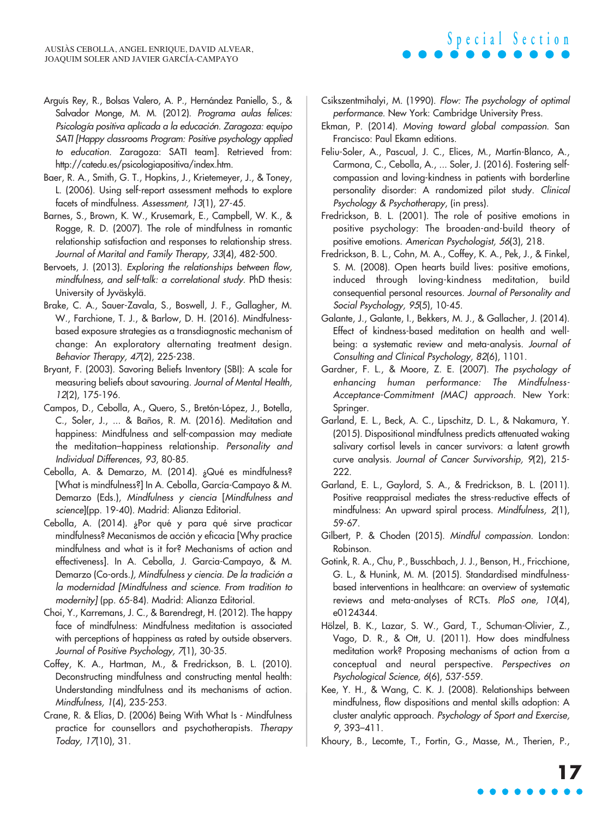- Arguís Rey, R., Bolsas Valero, A. P., Hernández Paniello, S., & Salvador Monge, M. M. (2012). *Programa aulas felices: Psicología positiva aplicada a la educación. Zaragoza: equipo SATI [Happy classrooms Program: Positive psychology applied to education*. Zaragoza: SATI team]. Retrieved from: [http://catedu.es/psicologiapositiva/index.htm.](http://catedu.es/psicologiapositiva/index.htm)
- Baer, R. A., Smith, G. T., Hopkins, J., Krietemeyer, J., & Toney, L. (2006). Using self-report assessment methods to explore facets of mindfulness. *Assessment, 13*(1), 27-45.
- Barnes, S., Brown, K. W., Krusemark, E., Campbell, W. K., & Rogge, R. D. (2007). The role of mindfulness in romantic relationship satisfaction and responses to relationship stress. *Journal of Marital and Family Therapy, 33*(4), 482-500.
- Bervoets, J. (2013). *Exploring the relationships between flow, mindfulness, and self-talk: a correlational study*. PhD thesis: University of Jyväskylä.
- Brake, C. A., Sauer-Zavala, S., Boswell, J. F., Gallagher, M. W., Farchione, T. J., & Barlow, D. H. (2016). Mindfulnessbased exposure strategies as a transdiagnostic mechanism of change: An exploratory alternating treatment design. *Behavior Therapy, 47*(2), 225-238.
- Bryant, F. (2003). Savoring Beliefs Inventory (SBI): A scale for measuring beliefs about savouring. *Journal of Mental Health, 12*(2), 175-196.
- Campos, D., Cebolla, A., Quero, S., Bretón-López, J., Botella, C., Soler, J., ... & Baños, R. M. (2016). Meditation and happiness: Mindfulness and self-compassion may mediate the meditation–happiness relationship. *Personality and Individual Differences*, *93*, 80-85*.*
- Cebolla, A. & Demarzo, M. (2014). ¿Qué es mindfulness? [What is mindfulness?] In A. Cebolla, García-Campayo & M. Demarzo (Eds.), *Mindfulness y ciencia* [*Mindfulness and science*](pp. 19-40). Madrid: Alianza Editorial.
- Cebolla, A. (2014). ¿Por qué y para qué sirve practicar mindfulness? Mecanismos de acción y eficacia [Why practice mindfulness and what is it for? Mechanisms of action and effectiveness]. In A. Cebolla, J. Garcia-Campayo, & M. Demarzo (Co-ords*.), Mindfulness y ciencia. De la tradición a la modernidad [Mindfulness and science. From tradition to modernity]* (pp. 65-84). Madrid: Alianza Editorial.
- Choi, Y., Karremans, J. C., & Barendregt, H. (2012). The happy face of mindfulness: Mindfulness meditation is associated with perceptions of happiness as rated by outside observers. *Journal of Positive Psychology, 7*(1), 30-35.
- Coffey, K. A., Hartman, M., & Fredrickson, B. L. (2010). Deconstructing mindfulness and constructing mental health: Understanding mindfulness and its mechanisms of action. *Mindfulness, 1*(4), 235-253.
- Crane, R. & Elías, D. (2006) Being With What Is Mindfulness practice for counsellors and psychotherapists. *Therapy Today, 17*(10), 31.

Csikszentmihalyi, M. (1990). *Flow: The psychology of optimal performance*. New York: Cambridge University Press.

**S p e c i a l S e c t i o n**

- Ekman, P. (2014). *Moving toward global compassion*. San Francisco: Paul Ekamn editions.
- Feliu-Soler, A., Pascual, J. C., Elices, M., Martín-Blanco, A., Carmona, C., Cebolla, A., ... Soler, J. (2016). Fostering selfcompassion and loving-kindness in patients with borderline personality disorder: A randomized pilot study. *Clinical Psychology & Psychotherapy*, (in press).
- Fredrickson, B. L. (2001). The role of positive emotions in positive psychology: The broaden-and-build theory of positive emotions. *American Psychologist, 56*(3), 218.
- Fredrickson, B. L., Cohn, M. A., Coffey, K. A., Pek, J., & Finkel, S. M. (2008). Open hearts build lives: positive emotions, induced through loving-kindness meditation, build consequential personal resources. *Journal of Personality and Social Psychology, 95*(5), 10-45.
- Galante, J., Galante, I., Bekkers, M. J., & Gallacher, J. (2014). Effect of kindness-based meditation on health and wellbeing: a systematic review and meta-analysis. *Journal of Consulting and Clinical Psychology, 82*(6), 1101.
- Gardner, F. L., & Moore, Z. E. (2007). *The psychology of enhancing human performance: The Mindfulness-Acceptance-Commitment (MAC) approach.* New York: Springer.
- Garland, E. L., Beck, A. C., Lipschitz, D. L., & Nakamura, Y. (2015). Dispositional mindfulness predicts attenuated waking salivary cortisol levels in cancer survivors: a latent growth curve analysis. *Journal of Cancer Survivorship, 9*(2), 215- 222.
- Garland, E. L., Gaylord, S. A., & Fredrickson, B. L. (2011). Positive reappraisal mediates the stress-reductive effects of mindfulness: An upward spiral process. *Mindfulness, 2*(1), 59-67.
- Gilbert, P. & Choden (2015). *Mindful compassion*. London: Robinson.
- Gotink, R. A., Chu, P., Busschbach, J. J., Benson, H., Fricchione, G. L., & Hunink, M. M. (2015). Standardised mindfulnessbased interventions in healthcare: an overview of systematic reviews and meta-analyses of RCTs. *PloS one, 10*(4), e0124344.
- Hölzel, B. K., Lazar, S. W., Gard, T., Schuman-Olivier, Z., Vago, D. R., & Ott, U. (2011). How does mindfulness meditation work? Proposing mechanisms of action from a conceptual and neural perspective. *Perspectives on Psychological Science, 6*(6), 537-559.
- Kee, Y. H., & Wang, C. K. J. (2008). Relationships between mindfulness, flow dispositions and mental skills adoption: A cluster analytic approach. *Psychology of Sport and Exercise, 9*, 393–411.
- Khoury, B., Lecomte, T., Fortin, G., Masse, M., Therien, P.,